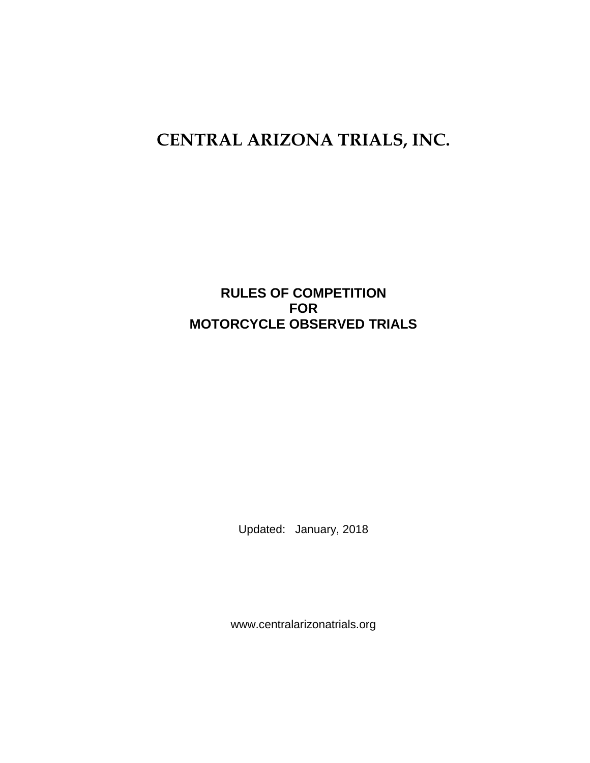# **CENTRAL ARIZONA TRIALS, INC.**

# **RULES OF COMPETITION FOR MOTORCYCLE OBSERVED TRIALS**

Updated: January, 2018

www.centralarizonatrials.org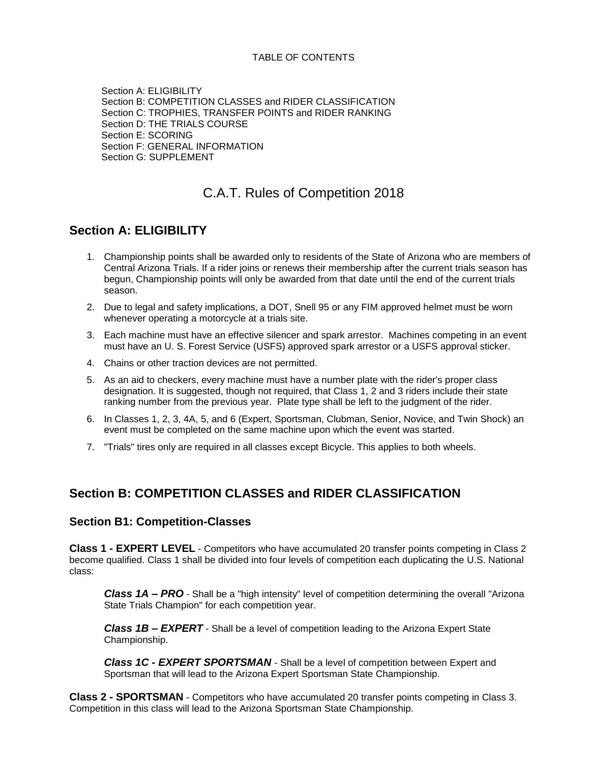#### TABLE OF CONTENTS

 Section A: ELIGIBILITY Section B: COMPETITION CLASSES and RIDER CLASSIFICATION Section C: TROPHIES, TRANSFER POINTS and RIDER RANKING Section D: THE TRIALS COURSE Section E: SCORING Section F: GENERAL INFORMATION Section G: SUPPLEMENT

# C.A.T. Rules of Competition 2018

## **Section A: ELIGIBILITY**

- 1. Championship points shall be awarded only to residents of the State of Arizona who are members of Central Arizona Trials. If a rider joins or renews their membership after the current trials season has begun, Championship points will only be awarded from that date until the end of the current trials season.
- 2. Due to legal and safety implications, a DOT, Snell 95 or any FIM approved helmet must be worn whenever operating a motorcycle at a trials site.
- 3. Each machine must have an effective silencer and spark arrestor. Machines competing in an event must have an U. S. Forest Service (USFS) approved spark arrestor or a USFS approval sticker.
- 4. Chains or other traction devices are not permitted.
- 5. As an aid to checkers, every machine must have a number plate with the rider's proper class designation. It is suggested, though not required, that Class 1, 2 and 3 riders include their state ranking number from the previous year. Plate type shall be left to the judgment of the rider.
- 6. In Classes 1, 2, 3, 4A, 5, and 6 (Expert, Sportsman, Clubman, Senior, Novice, and Twin Shock) an event must be completed on the same machine upon which the event was started.
- 7. "Trials" tires only are required in all classes except Bicycle. This applies to both wheels.

# **Section B: COMPETITION CLASSES and RIDER CLASSIFICATION**

#### **Section B1: Competition-Classes**

**Class 1 - EXPERT LEVEL** - Competitors who have accumulated 20 transfer points competing in Class 2 become qualified. Class 1 shall be divided into four levels of competition each duplicating the U.S. National class:

*Class 1A – PRO* - Shall be a "high intensity" level of competition determining the overall "Arizona State Trials Champion" for each competition year.

*Class 1B – EXPERT* - Shall be a level of competition leading to the Arizona Expert State Championship.

*Class 1C - EXPERT SPORTSMAN* - Shall be a level of competition between Expert and Sportsman that will lead to the Arizona Expert Sportsman State Championship.

**Class 2 - SPORTSMAN** - Competitors who have accumulated 20 transfer points competing in Class 3. Competition in this class will lead to the Arizona Sportsman State Championship.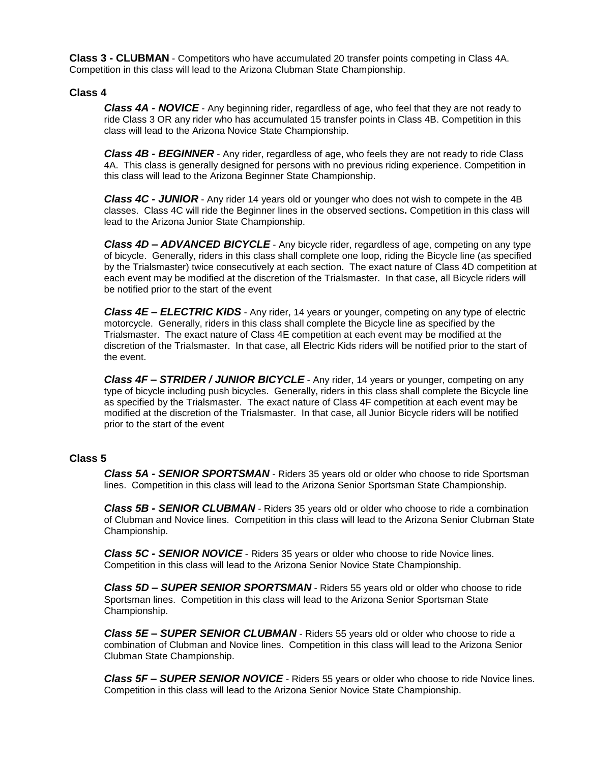**Class 3 - CLUBMAN** - Competitors who have accumulated 20 transfer points competing in Class 4A. Competition in this class will lead to the Arizona Clubman State Championship.

#### **Class 4**

*Class 4A - NOVICE* - Any beginning rider, regardless of age, who feel that they are not ready to ride Class 3 OR any rider who has accumulated 15 transfer points in Class 4B. Competition in this class will lead to the Arizona Novice State Championship.

*Class 4B - BEGINNER* - Any rider, regardless of age, who feels they are not ready to ride Class 4A. This class is generally designed for persons with no previous riding experience. Competition in this class will lead to the Arizona Beginner State Championship.

*Class 4C - JUNIOR* - Any rider 14 years old or younger who does not wish to compete in the 4B classes. Class 4C will ride the Beginner lines in the observed sections**.** Competition in this class will lead to the Arizona Junior State Championship.

*Class 4D – ADVANCED BICYCLE* - Any bicycle rider, regardless of age, competing on any type of bicycle. Generally, riders in this class shall complete one loop, riding the Bicycle line (as specified by the Trialsmaster) twice consecutively at each section. The exact nature of Class 4D competition at each event may be modified at the discretion of the Trialsmaster. In that case, all Bicycle riders will be notified prior to the start of the event

*Class 4E – ELECTRIC KIDS* - Any rider, 14 years or younger, competing on any type of electric motorcycle. Generally, riders in this class shall complete the Bicycle line as specified by the Trialsmaster. The exact nature of Class 4E competition at each event may be modified at the discretion of the Trialsmaster. In that case, all Electric Kids riders will be notified prior to the start of the event.

*Class 4F – STRIDER / JUNIOR BICYCLE* - Any rider, 14 years or younger, competing on any type of bicycle including push bicycles. Generally, riders in this class shall complete the Bicycle line as specified by the Trialsmaster. The exact nature of Class 4F competition at each event may be modified at the discretion of the Trialsmaster. In that case, all Junior Bicycle riders will be notified prior to the start of the event

#### **Class 5**

*Class 5A - SENIOR SPORTSMAN* - Riders 35 years old or older who choose to ride Sportsman lines. Competition in this class will lead to the Arizona Senior Sportsman State Championship.

*Class 5B - SENIOR CLUBMAN* - Riders 35 years old or older who choose to ride a combination of Clubman and Novice lines. Competition in this class will lead to the Arizona Senior Clubman State Championship.

*Class 5C - SENIOR NOVICE* - Riders 35 years or older who choose to ride Novice lines. Competition in this class will lead to the Arizona Senior Novice State Championship.

*Class 5D – SUPER SENIOR SPORTSMAN* - Riders 55 years old or older who choose to ride Sportsman lines. Competition in this class will lead to the Arizona Senior Sportsman State Championship.

*Class 5E – SUPER SENIOR CLUBMAN* - Riders 55 years old or older who choose to ride a combination of Clubman and Novice lines. Competition in this class will lead to the Arizona Senior Clubman State Championship.

*Class 5F – SUPER SENIOR NOVICE* - Riders 55 years or older who choose to ride Novice lines. Competition in this class will lead to the Arizona Senior Novice State Championship.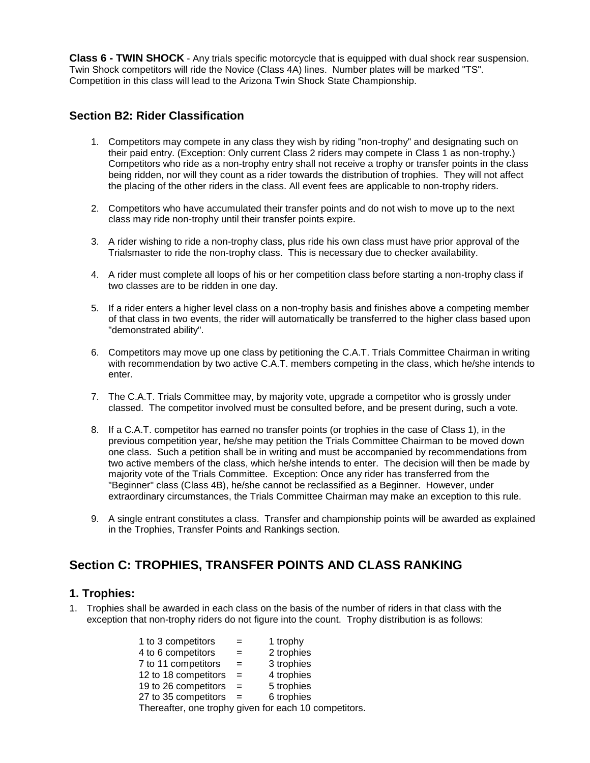**Class 6 - TWIN SHOCK** - Any trials specific motorcycle that is equipped with dual shock rear suspension. Twin Shock competitors will ride the Novice (Class 4A) lines. Number plates will be marked "TS". Competition in this class will lead to the Arizona Twin Shock State Championship.

### **Section B2: Rider Classification**

- 1. Competitors may compete in any class they wish by riding "non-trophy" and designating such on their paid entry. (Exception: Only current Class 2 riders may compete in Class 1 as non-trophy.) Competitors who ride as a non-trophy entry shall not receive a trophy or transfer points in the class being ridden, nor will they count as a rider towards the distribution of trophies. They will not affect the placing of the other riders in the class. All event fees are applicable to non-trophy riders.
- 2. Competitors who have accumulated their transfer points and do not wish to move up to the next class may ride non-trophy until their transfer points expire.
- 3. A rider wishing to ride a non-trophy class, plus ride his own class must have prior approval of the Trialsmaster to ride the non-trophy class. This is necessary due to checker availability.
- 4. A rider must complete all loops of his or her competition class before starting a non-trophy class if two classes are to be ridden in one day.
- 5. If a rider enters a higher level class on a non-trophy basis and finishes above a competing member of that class in two events, the rider will automatically be transferred to the higher class based upon "demonstrated ability".
- 6. Competitors may move up one class by petitioning the C.A.T. Trials Committee Chairman in writing with recommendation by two active C.A.T. members competing in the class, which he/she intends to enter.
- 7. The C.A.T. Trials Committee may, by majority vote, upgrade a competitor who is grossly under classed. The competitor involved must be consulted before, and be present during, such a vote.
- 8. If a C.A.T. competitor has earned no transfer points (or trophies in the case of Class 1), in the previous competition year, he/she may petition the Trials Committee Chairman to be moved down one class. Such a petition shall be in writing and must be accompanied by recommendations from two active members of the class, which he/she intends to enter. The decision will then be made by majority vote of the Trials Committee. Exception: Once any rider has transferred from the "Beginner" class (Class 4B), he/she cannot be reclassified as a Beginner. However, under extraordinary circumstances, the Trials Committee Chairman may make an exception to this rule.
- 9. A single entrant constitutes a class. Transfer and championship points will be awarded as explained in the Trophies, Transfer Points and Rankings section.

# **Section C: TROPHIES, TRANSFER POINTS AND CLASS RANKING**

#### **1. Trophies:**

1. Trophies shall be awarded in each class on the basis of the number of riders in that class with the exception that non-trophy riders do not figure into the count. Trophy distribution is as follows:

| 1 to 3 competitors   | $=$ | 1 trophy                                              |
|----------------------|-----|-------------------------------------------------------|
| 4 to 6 competitors   | $=$ | 2 trophies                                            |
| 7 to 11 competitors  | $=$ | 3 trophies                                            |
| 12 to 18 competitors | $=$ | 4 trophies                                            |
| 19 to 26 competitors | $=$ | 5 trophies                                            |
| 27 to 35 competitors |     | 6 trophies                                            |
|                      |     | Thereafter, one trophy given for each 10 competitors. |
|                      |     |                                                       |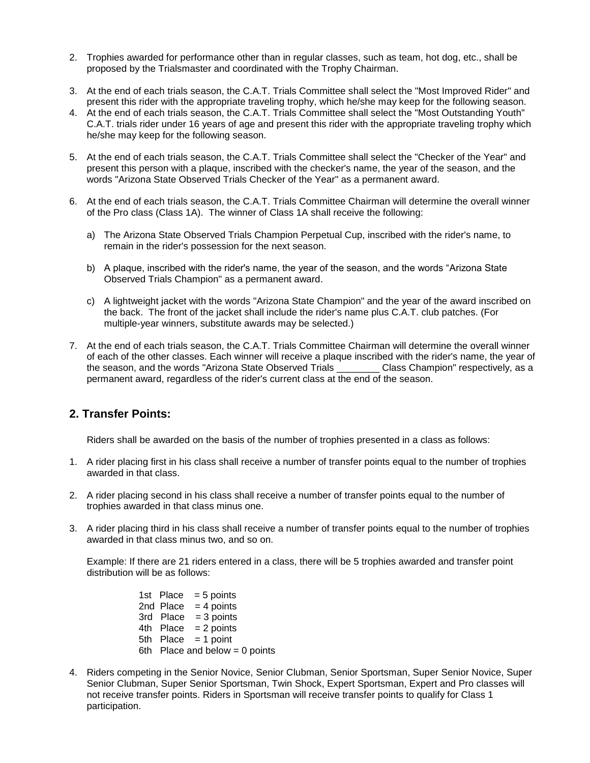- 2. Trophies awarded for performance other than in regular classes, such as team, hot dog, etc., shall be proposed by the Trialsmaster and coordinated with the Trophy Chairman.
- 3. At the end of each trials season, the C.A.T. Trials Committee shall select the "Most Improved Rider" and present this rider with the appropriate traveling trophy, which he/she may keep for the following season.
- 4. At the end of each trials season, the C.A.T. Trials Committee shall select the "Most Outstanding Youth" C.A.T. trials rider under 16 years of age and present this rider with the appropriate traveling trophy which he/she may keep for the following season.
- 5. At the end of each trials season, the C.A.T. Trials Committee shall select the "Checker of the Year" and present this person with a plaque, inscribed with the checker's name, the year of the season, and the words "Arizona State Observed Trials Checker of the Year" as a permanent award.
- 6. At the end of each trials season, the C.A.T. Trials Committee Chairman will determine the overall winner of the Pro class (Class 1A). The winner of Class 1A shall receive the following:
	- a) The Arizona State Observed Trials Champion Perpetual Cup, inscribed with the rider's name, to remain in the rider's possession for the next season.
	- b) A plaque, inscribed with the rider's name, the year of the season, and the words "Arizona State Observed Trials Champion" as a permanent award.
	- c) A lightweight jacket with the words "Arizona State Champion" and the year of the award inscribed on the back. The front of the jacket shall include the rider's name plus C.A.T. club patches. (For multiple-year winners, substitute awards may be selected.)
- 7. At the end of each trials season, the C.A.T. Trials Committee Chairman will determine the overall winner of each of the other classes. Each winner will receive a plaque inscribed with the rider's name, the year of the season, and the words "Arizona State Observed Trials \_\_\_\_\_\_\_\_ Class Champion" respectively, as a permanent award, regardless of the rider's current class at the end of the season.

## **2. Transfer Points:**

Riders shall be awarded on the basis of the number of trophies presented in a class as follows:

- 1. A rider placing first in his class shall receive a number of transfer points equal to the number of trophies awarded in that class.
- 2. A rider placing second in his class shall receive a number of transfer points equal to the number of trophies awarded in that class minus one.
- 3. A rider placing third in his class shall receive a number of transfer points equal to the number of trophies awarded in that class minus two, and so on.

Example: If there are 21 riders entered in a class, there will be 5 trophies awarded and transfer point distribution will be as follows:

> 1st Place  $= 5$  points 2nd Place  $= 4$  points  $3rd$  Place = 3 points 4th  $Place = 2 points$ 5th Place = 1 point 6th Place and below  $= 0$  points

4. Riders competing in the Senior Novice, Senior Clubman, Senior Sportsman, Super Senior Novice, Super Senior Clubman, Super Senior Sportsman, Twin Shock, Expert Sportsman, Expert and Pro classes will not receive transfer points. Riders in Sportsman will receive transfer points to qualify for Class 1 participation.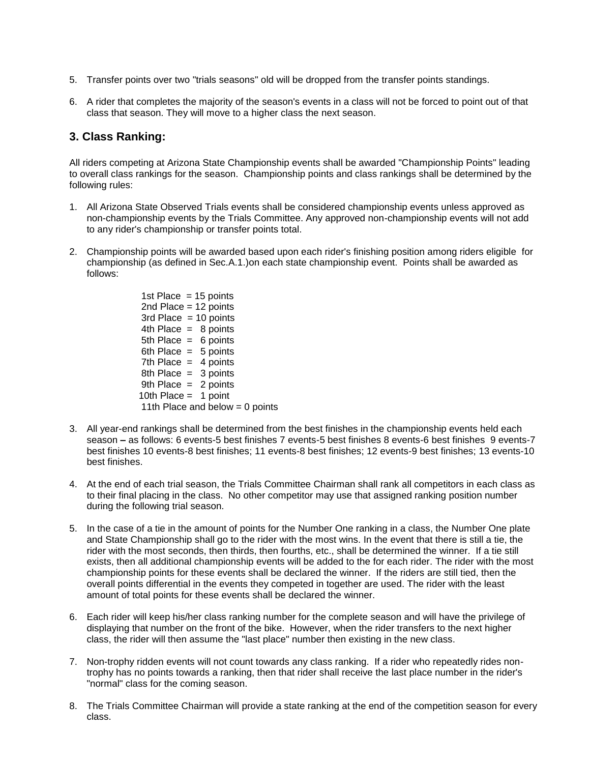- 5. Transfer points over two "trials seasons" old will be dropped from the transfer points standings.
- 6. A rider that completes the majority of the season's events in a class will not be forced to point out of that class that season. They will move to a higher class the next season.

#### **3. Class Ranking:**

All riders competing at Arizona State Championship events shall be awarded "Championship Points" leading to overall class rankings for the season. Championship points and class rankings shall be determined by the following rules:

- 1. All Arizona State Observed Trials events shall be considered championship events unless approved as non-championship events by the Trials Committee. Any approved non-championship events will not add to any rider's championship or transfer points total.
- 2. Championship points will be awarded based upon each rider's finishing position among riders eligible for championship (as defined in Sec.A.1.)on each state championship event. Points shall be awarded as follows:

1st Place  $= 15$  points 2nd Place = 12 points  $3rd$  Place = 10 points 4th Place  $= 8$  points 5th Place  $= 6$  points 6th Place  $= 5$  points 7th Place  $=$  4 points 8th Place  $= 3$  points 9th Place  $= 2$  points 10th Place  $=$  1 point 11th Place and below  $= 0$  points

- 3. All year-end rankings shall be determined from the best finishes in the championship events held each season **–** as follows: 6 events-5 best finishes 7 events-5 best finishes 8 events-6 best finishes 9 events-7 best finishes 10 events-8 best finishes; 11 events-8 best finishes; 12 events-9 best finishes; 13 events-10 best finishes.
- 4. At the end of each trial season, the Trials Committee Chairman shall rank all competitors in each class as to their final placing in the class. No other competitor may use that assigned ranking position number during the following trial season.
- 5. In the case of a tie in the amount of points for the Number One ranking in a class, the Number One plate and State Championship shall go to the rider with the most wins. In the event that there is still a tie, the rider with the most seconds, then thirds, then fourths, etc., shall be determined the winner. If a tie still exists, then all additional championship events will be added to the for each rider. The rider with the most championship points for these events shall be declared the winner. If the riders are still tied, then the overall points differential in the events they competed in together are used. The rider with the least amount of total points for these events shall be declared the winner.
- 6. Each rider will keep his/her class ranking number for the complete season and will have the privilege of displaying that number on the front of the bike. However, when the rider transfers to the next higher class, the rider will then assume the "last place" number then existing in the new class.
- 7. Non-trophy ridden events will not count towards any class ranking. If a rider who repeatedly rides nontrophy has no points towards a ranking, then that rider shall receive the last place number in the rider's "normal" class for the coming season.
- 8. The Trials Committee Chairman will provide a state ranking at the end of the competition season for every class.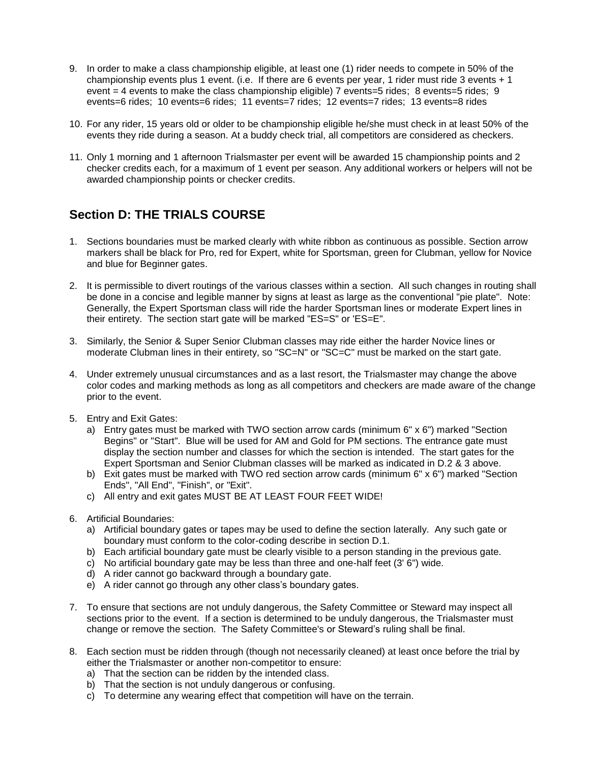- 9. In order to make a class championship eligible, at least one (1) rider needs to compete in 50% of the championship events plus 1 event. (i.e. If there are 6 events per year, 1 rider must ride 3 events + 1 event = 4 events to make the class championship eligible) 7 events=5 rides; 8 events=5 rides; 9 events=6 rides; 10 events=6 rides; 11 events=7 rides; 12 events=7 rides; 13 events=8 rides
- 10. For any rider, 15 years old or older to be championship eligible he/she must check in at least 50% of the events they ride during a season. At a buddy check trial, all competitors are considered as checkers.
- 11. Only 1 morning and 1 afternoon Trialsmaster per event will be awarded 15 championship points and 2 checker credits each, for a maximum of 1 event per season. Any additional workers or helpers will not be awarded championship points or checker credits.

# **Section D: THE TRIALS COURSE**

- 1. Sections boundaries must be marked clearly with white ribbon as continuous as possible. Section arrow markers shall be black for Pro, red for Expert, white for Sportsman, green for Clubman, yellow for Novice and blue for Beginner gates.
- 2. It is permissible to divert routings of the various classes within a section. All such changes in routing shall be done in a concise and legible manner by signs at least as large as the conventional "pie plate". Note: Generally, the Expert Sportsman class will ride the harder Sportsman lines or moderate Expert lines in their entirety. The section start gate will be marked "ES=S" or 'ES=E".
- 3. Similarly, the Senior & Super Senior Clubman classes may ride either the harder Novice lines or moderate Clubman lines in their entirety, so "SC=N" or "SC=C" must be marked on the start gate.
- 4. Under extremely unusual circumstances and as a last resort, the Trialsmaster may change the above color codes and marking methods as long as all competitors and checkers are made aware of the change prior to the event.
- 5. Entry and Exit Gates:
	- a) Entry gates must be marked with TWO section arrow cards (minimum 6" x 6") marked "Section Begins" or "Start". Blue will be used for AM and Gold for PM sections. The entrance gate must display the section number and classes for which the section is intended. The start gates for the Expert Sportsman and Senior Clubman classes will be marked as indicated in D.2 & 3 above.
	- b) Exit gates must be marked with TWO red section arrow cards (minimum 6" x 6") marked "Section Ends", "All End", "Finish", or "Exit".
	- c) All entry and exit gates MUST BE AT LEAST FOUR FEET WIDE!
- 6. Artificial Boundaries:
	- a) Artificial boundary gates or tapes may be used to define the section laterally. Any such gate or boundary must conform to the color-coding describe in section D.1.
	- b) Each artificial boundary gate must be clearly visible to a person standing in the previous gate.
	- c) No artificial boundary gate may be less than three and one-half feet (3' 6") wide.
	- d) A rider cannot go backward through a boundary gate.
	- e) A rider cannot go through any other class's boundary gates.
- 7. To ensure that sections are not unduly dangerous, the Safety Committee or Steward may inspect all sections prior to the event. If a section is determined to be unduly dangerous, the Trialsmaster must change or remove the section. The Safety Committee's or Steward's ruling shall be final.
- 8. Each section must be ridden through (though not necessarily cleaned) at least once before the trial by either the Trialsmaster or another non-competitor to ensure:
	- a) That the section can be ridden by the intended class.
	- b) That the section is not unduly dangerous or confusing.
	- c) To determine any wearing effect that competition will have on the terrain.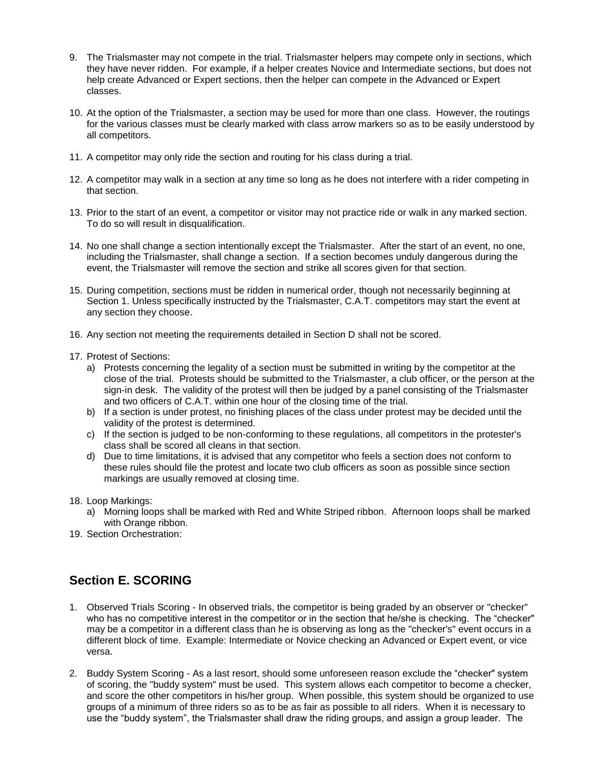- 9. The Trialsmaster may not compete in the trial. Trialsmaster helpers may compete only in sections, which they have never ridden. For example, if a helper creates Novice and Intermediate sections, but does not help create Advanced or Expert sections, then the helper can compete in the Advanced or Expert classes.
- 10. At the option of the Trialsmaster, a section may be used for more than one class. However, the routings for the various classes must be clearly marked with class arrow markers so as to be easily understood by all competitors.
- 11. A competitor may only ride the section and routing for his class during a trial.
- 12. A competitor may walk in a section at any time so long as he does not interfere with a rider competing in that section.
- 13. Prior to the start of an event, a competitor or visitor may not practice ride or walk in any marked section. To do so will result in disqualification.
- 14. No one shall change a section intentionally except the Trialsmaster. After the start of an event, no one, including the Trialsmaster, shall change a section. If a section becomes unduly dangerous during the event, the Trialsmaster will remove the section and strike all scores given for that section.
- 15. During competition, sections must be ridden in numerical order, though not necessarily beginning at Section 1. Unless specifically instructed by the Trialsmaster, C.A.T. competitors may start the event at any section they choose.
- 16. Any section not meeting the requirements detailed in Section D shall not be scored.
- 17. Protest of Sections:
	- a) Protests concerning the legality of a section must be submitted in writing by the competitor at the close of the trial. Protests should be submitted to the Trialsmaster, a club officer, or the person at the sign-in desk. The validity of the protest will then be judged by a panel consisting of the Trialsmaster and two officers of C.A.T. within one hour of the closing time of the trial.
	- b) If a section is under protest, no finishing places of the class under protest may be decided until the validity of the protest is determined.
	- c) If the section is judged to be non-conforming to these regulations, all competitors in the protester's class shall be scored all cleans in that section.
	- d) Due to time limitations, it is advised that any competitor who feels a section does not conform to these rules should file the protest and locate two club officers as soon as possible since section markings are usually removed at closing time.
- 18. Loop Markings:
	- a) Morning loops shall be marked with Red and White Striped ribbon. Afternoon loops shall be marked with Orange ribbon.
- 19. Section Orchestration:

# **Section E. SCORING**

- 1. Observed Trials Scoring In observed trials, the competitor is being graded by an observer or "checker" who has no competitive interest in the competitor or in the section that he/she is checking. The "checker" may be a competitor in a different class than he is observing as long as the "checker's" event occurs in a different block of time. Example: Intermediate or Novice checking an Advanced or Expert event, or vice versa.
- 2. Buddy System Scoring As a last resort, should some unforeseen reason exclude the "checker" system of scoring, the "buddy system" must be used. This system allows each competitor to become a checker, and score the other competitors in his/her group. When possible, this system should be organized to use groups of a minimum of three riders so as to be as fair as possible to all riders. When it is necessary to use the "buddy system", the Trialsmaster shall draw the riding groups, and assign a group leader. The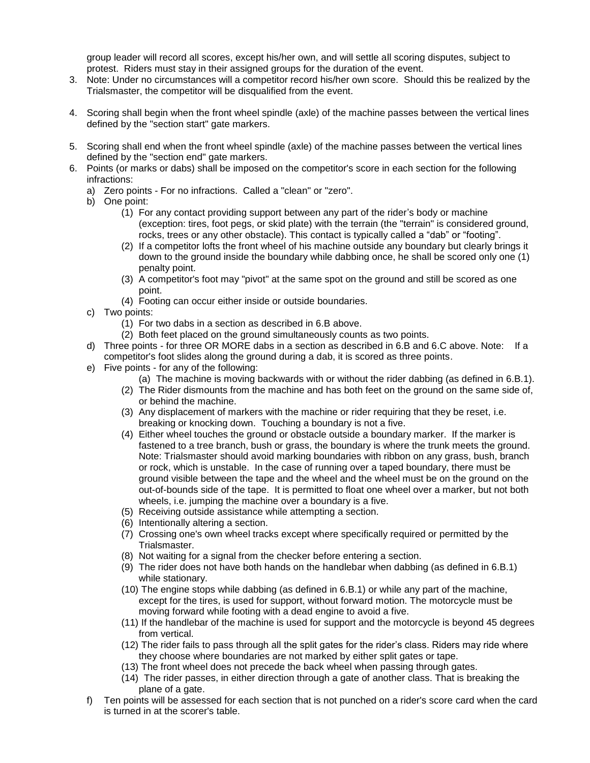group leader will record all scores, except his/her own, and will settle all scoring disputes, subject to protest. Riders must stay in their assigned groups for the duration of the event.

- 3. Note: Under no circumstances will a competitor record his/her own score. Should this be realized by the Trialsmaster, the competitor will be disqualified from the event.
- 4. Scoring shall begin when the front wheel spindle (axle) of the machine passes between the vertical lines defined by the "section start" gate markers.
- 5. Scoring shall end when the front wheel spindle (axle) of the machine passes between the vertical lines defined by the "section end" gate markers.
- 6. Points (or marks or dabs) shall be imposed on the competitor's score in each section for the following infractions:
	- a) Zero points For no infractions. Called a "clean" or "zero".
	- b) One point:
		- (1) For any contact providing support between any part of the rider's body or machine (exception: tires, foot pegs, or skid plate) with the terrain (the "terrain" is considered ground, rocks, trees or any other obstacle). This contact is typically called a "dab" or "footing".
		- (2) If a competitor lofts the front wheel of his machine outside any boundary but clearly brings it down to the ground inside the boundary while dabbing once, he shall be scored only one (1) penalty point.
		- (3) A competitor's foot may "pivot" at the same spot on the ground and still be scored as one point.
		- (4) Footing can occur either inside or outside boundaries.
	- c) Two points:
		- (1) For two dabs in a section as described in 6.B above.
		- (2) Both feet placed on the ground simultaneously counts as two points.
	- d) Three points for three OR MORE dabs in a section as described in 6.B and 6.C above. Note: If a competitor's foot slides along the ground during a dab, it is scored as three points.
	- e) Five points for any of the following:
		- (a) The machine is moving backwards with or without the rider dabbing (as defined in 6.B.1).
		- (2) The Rider dismounts from the machine and has both feet on the ground on the same side of, or behind the machine.
		- (3) Any displacement of markers with the machine or rider requiring that they be reset, i.e. breaking or knocking down. Touching a boundary is not a five.
		- (4) Either wheel touches the ground or obstacle outside a boundary marker. If the marker is fastened to a tree branch, bush or grass, the boundary is where the trunk meets the ground. Note: Trialsmaster should avoid marking boundaries with ribbon on any grass, bush, branch or rock, which is unstable. In the case of running over a taped boundary, there must be ground visible between the tape and the wheel and the wheel must be on the ground on the out-of-bounds side of the tape. It is permitted to float one wheel over a marker, but not both wheels, i.e. jumping the machine over a boundary is a five.
		- (5) Receiving outside assistance while attempting a section.
		- (6) Intentionally altering a section.
		- (7) Crossing one's own wheel tracks except where specifically required or permitted by the Trialsmaster.
		- (8) Not waiting for a signal from the checker before entering a section.
		- (9) The rider does not have both hands on the handlebar when dabbing (as defined in 6.B.1) while stationary.
		- (10) The engine stops while dabbing (as defined in 6.B.1) or while any part of the machine, except for the tires, is used for support, without forward motion. The motorcycle must be moving forward while footing with a dead engine to avoid a five.
		- (11) If the handlebar of the machine is used for support and the motorcycle is beyond 45 degrees from vertical.
		- (12) The rider fails to pass through all the split gates for the rider's class. Riders may ride where they choose where boundaries are not marked by either split gates or tape.
		- (13) The front wheel does not precede the back wheel when passing through gates.
		- (14) The rider passes, in either direction through a gate of another class. That is breaking the plane of a gate.
	- f) Ten points will be assessed for each section that is not punched on a rider's score card when the card is turned in at the scorer's table.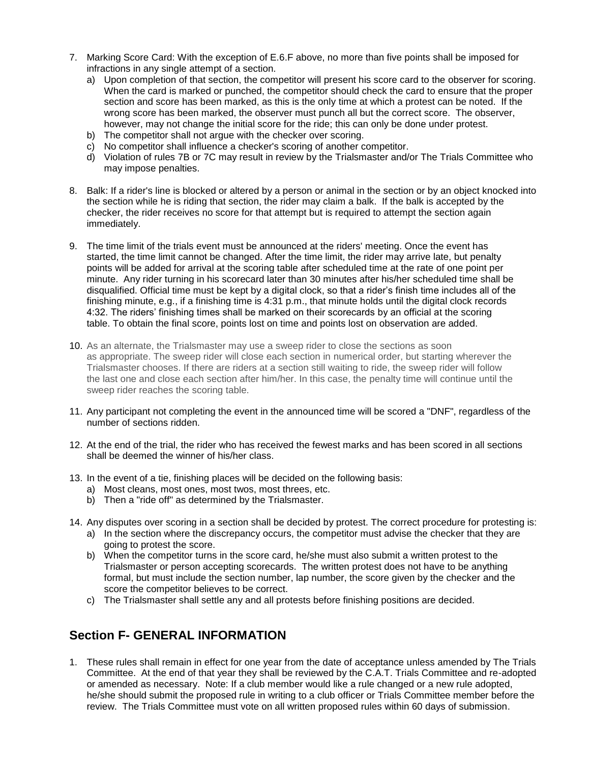- 7. Marking Score Card: With the exception of E.6.F above, no more than five points shall be imposed for infractions in any single attempt of a section.
	- a) Upon completion of that section, the competitor will present his score card to the observer for scoring. When the card is marked or punched, the competitor should check the card to ensure that the proper section and score has been marked, as this is the only time at which a protest can be noted. If the wrong score has been marked, the observer must punch all but the correct score. The observer, however, may not change the initial score for the ride; this can only be done under protest.
	- b) The competitor shall not argue with the checker over scoring.
	- c) No competitor shall influence a checker's scoring of another competitor.
	- d) Violation of rules 7B or 7C may result in review by the Trialsmaster and/or The Trials Committee who may impose penalties.
- 8. Balk: If a rider's line is blocked or altered by a person or animal in the section or by an object knocked into the section while he is riding that section, the rider may claim a balk. If the balk is accepted by the checker, the rider receives no score for that attempt but is required to attempt the section again immediately.
- 9. The time limit of the trials event must be announced at the riders' meeting. Once the event has started, the time limit cannot be changed. After the time limit, the rider may arrive late, but penalty points will be added for arrival at the scoring table after scheduled time at the rate of one point per minute. Any rider turning in his scorecard later than 30 minutes after his/her scheduled time shall be disqualified. Official time must be kept by a digital clock, so that a rider's finish time includes all of the finishing minute, e.g., if a finishing time is 4:31 p.m., that minute holds until the digital clock records 4:32. The riders' finishing times shall be marked on their scorecards by an official at the scoring table. To obtain the final score, points lost on time and points lost on observation are added.
- 10. As an alternate, the Trialsmaster may use a sweep rider to close the sections as soon as appropriate. The sweep rider will close each section in numerical order, but starting wherever the Trialsmaster chooses. If there are riders at a section still waiting to ride, the sweep rider will follow the last one and close each section after him/her. In this case, the penalty time will continue until the sweep rider reaches the scoring table.
- 11. Any participant not completing the event in the announced time will be scored a "DNF", regardless of the number of sections ridden.
- 12. At the end of the trial, the rider who has received the fewest marks and has been scored in all sections shall be deemed the winner of his/her class.
- 13. In the event of a tie, finishing places will be decided on the following basis:
	- a) Most cleans, most ones, most twos, most threes, etc.
	- b) Then a "ride off" as determined by the Trialsmaster.
- 14. Any disputes over scoring in a section shall be decided by protest. The correct procedure for protesting is:
	- a) In the section where the discrepancy occurs, the competitor must advise the checker that they are going to protest the score.
	- b) When the competitor turns in the score card, he/she must also submit a written protest to the Trialsmaster or person accepting scorecards. The written protest does not have to be anything formal, but must include the section number, lap number, the score given by the checker and the score the competitor believes to be correct.
	- c) The Trialsmaster shall settle any and all protests before finishing positions are decided.

# **Section F- GENERAL INFORMATION**

1. These rules shall remain in effect for one year from the date of acceptance unless amended by The Trials Committee. At the end of that year they shall be reviewed by the C.A.T. Trials Committee and re-adopted or amended as necessary. Note: If a club member would like a rule changed or a new rule adopted, he/she should submit the proposed rule in writing to a club officer or Trials Committee member before the review. The Trials Committee must vote on all written proposed rules within 60 days of submission.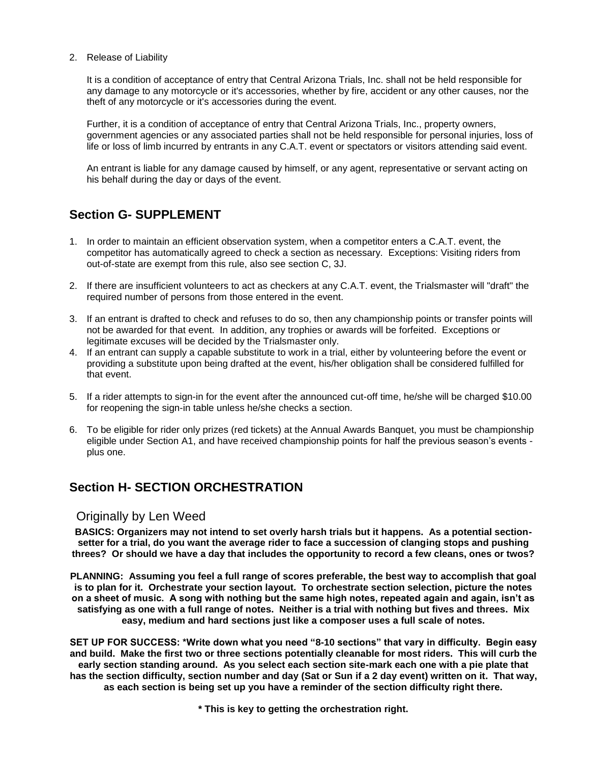#### 2. Release of Liability

It is a condition of acceptance of entry that Central Arizona Trials, Inc. shall not be held responsible for any damage to any motorcycle or it's accessories, whether by fire, accident or any other causes, nor the theft of any motorcycle or it's accessories during the event.

Further, it is a condition of acceptance of entry that Central Arizona Trials, Inc., property owners, government agencies or any associated parties shall not be held responsible for personal injuries, loss of life or loss of limb incurred by entrants in any C.A.T. event or spectators or visitors attending said event.

An entrant is liable for any damage caused by himself, or any agent, representative or servant acting on his behalf during the day or days of the event.

# **Section G- SUPPLEMENT**

- 1. In order to maintain an efficient observation system, when a competitor enters a C.A.T. event, the competitor has automatically agreed to check a section as necessary. Exceptions: Visiting riders from out-of-state are exempt from this rule, also see section C, 3J.
- 2. If there are insufficient volunteers to act as checkers at any C.A.T. event, the Trialsmaster will "draft" the required number of persons from those entered in the event.
- 3. If an entrant is drafted to check and refuses to do so, then any championship points or transfer points will not be awarded for that event. In addition, any trophies or awards will be forfeited. Exceptions or legitimate excuses will be decided by the Trialsmaster only.
- 4. If an entrant can supply a capable substitute to work in a trial, either by volunteering before the event or providing a substitute upon being drafted at the event, his/her obligation shall be considered fulfilled for that event.
- 5. If a rider attempts to sign-in for the event after the announced cut-off time, he/she will be charged \$10.00 for reopening the sign-in table unless he/she checks a section.
- 6. To be eligible for rider only prizes (red tickets) at the Annual Awards Banquet, you must be championship eligible under Section A1, and have received championship points for half the previous season's events plus one.

# **Section H- SECTION ORCHESTRATION**

#### Originally by Len Weed

**BASICS: Organizers may not intend to set overly harsh trials but it happens. As a potential sectionsetter for a trial, do you want the average rider to face a succession of clanging stops and pushing threes? Or should we have a day that includes the opportunity to record a few cleans, ones or twos?** 

**PLANNING: Assuming you feel a full range of scores preferable, the best way to accomplish that goal is to plan for it. Orchestrate your section layout. To orchestrate section selection, picture the notes on a sheet of music. A song with nothing but the same high notes, repeated again and again, isn't as satisfying as one with a full range of notes. Neither is a trial with nothing but fives and threes. Mix easy, medium and hard sections just like a composer uses a full scale of notes.** 

**SET UP FOR SUCCESS: \*Write down what you need "8-10 sections" that vary in difficulty. Begin easy and build. Make the first two or three sections potentially cleanable for most riders. This will curb the early section standing around. As you select each section site-mark each one with a pie plate that has the section difficulty, section number and day (Sat or Sun if a 2 day event) written on it. That way, as each section is being set up you have a reminder of the section difficulty right there.** 

**\* This is key to getting the orchestration right.**